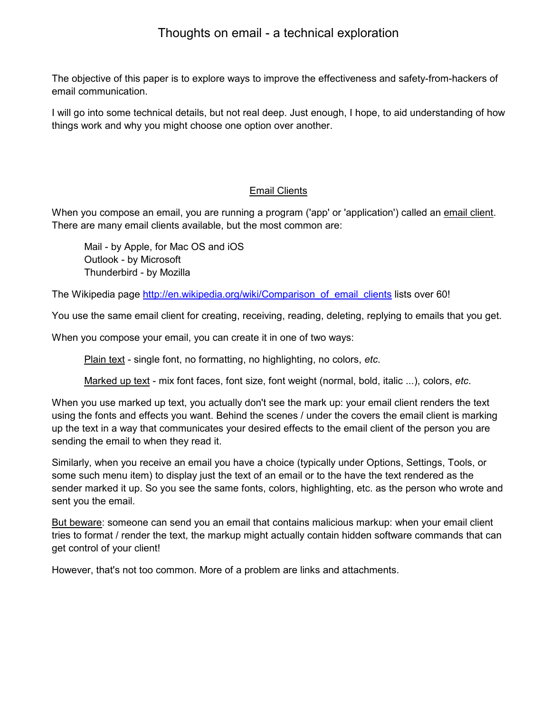The objective of this paper is to explore ways to improve the effectiveness and safety-from-hackers of email communication.

I will go into some technical details, but not real deep. Just enough, I hope, to aid understanding of how things work and why you might choose one option over another.

# **Email Clients**

When you compose an email, you are running a program ('app' or 'application') called an email client. There are many email clients available, but the most common are:

Mail - by Apple, for Mac OS and iOS Outlook - by Microsoft Thunderbird - by Mozilla

The Wikipedia page http://en.wikipedia.org/wiki/Comparison\_of\_email\_clients lists over 60!

You use the same email client for creating, receiving, reading, deleting, replying to emails that you get.

When you compose your email, you can create it in one of two ways:

Plain text - single font, no formatting, no highlighting, no colors, *etc*.

Marked up text - mix font faces, font size, font weight (normal, bold, italic ...), colors, *etc*.

When you use marked up text, you actually don't see the mark up: your email client renders the text using the fonts and effects you want. Behind the scenes / under the covers the email client is marking up the text in a way that communicates your desired effects to the email client of the person you are sending the email to when they read it.

Similarly, when you receive an email you have a choice (typically under Options, Settings, Tools, or some such menu item) to display just the text of an email or to the have the text rendered as the sender marked it up. So you see the same fonts, colors, highlighting, etc. as the person who wrote and sent you the email.

But beware: someone can send you an email that contains malicious markup: when your email client tries to format / render the text, the markup might actually contain hidden software commands that can get control of your client!

However, that's not too common. More of a problem are links and attachments.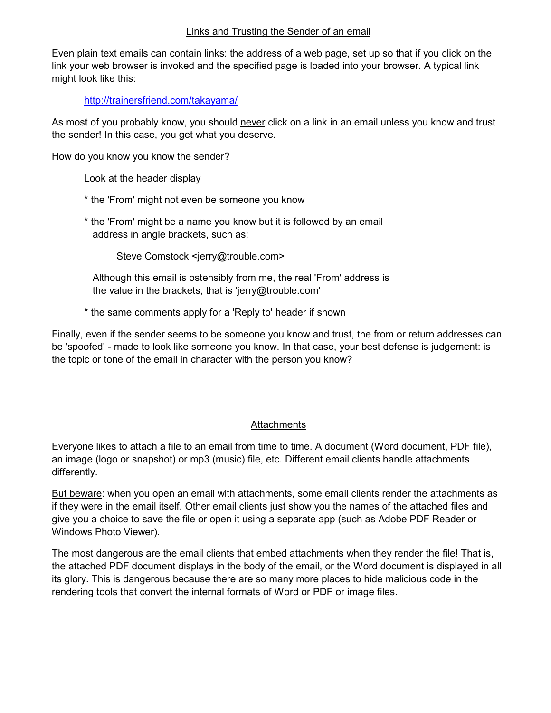### Links and Trusting the Sender of an email

Even plain text emails can contain links: the address of a web page, set up so that if you click on the link your web browser is invoked and the specified page is loaded into your browser. A typical link might look like this:

http://trainersfriend.com/takayama/

As most of you probably know, you should never click on a link in an email unless you know and trust the sender! In this case, you get what you deserve.

How do you know you know the sender?

Look at the header display

- \* the 'From' might not even be someone you know
- \* the 'From' might be a name you know but it is followed by an email address in angle brackets, such as:

Steve Comstock <jerry@trouble.com>

 Although this email is ostensibly from me, the real 'From' address is the value in the brackets, that is 'jerry@trouble.com'

\* the same comments apply for a 'Reply to' header if shown

Finally, even if the sender seems to be someone you know and trust, the from or return addresses can be 'spoofed' - made to look like someone you know. In that case, your best defense is judgement: is the topic or tone of the email in character with the person you know?

# **Attachments**

Everyone likes to attach a file to an email from time to time. A document (Word document, PDF file), an image (logo or snapshot) or mp3 (music) file, etc. Different email clients handle attachments differently.

But beware: when you open an email with attachments, some email clients render the attachments as if they were in the email itself. Other email clients just show you the names of the attached files and give you a choice to save the file or open it using a separate app (such as Adobe PDF Reader or Windows Photo Viewer).

The most dangerous are the email clients that embed attachments when they render the file! That is, the attached PDF document displays in the body of the email, or the Word document is displayed in all its glory. This is dangerous because there are so many more places to hide malicious code in the rendering tools that convert the internal formats of Word or PDF or image files.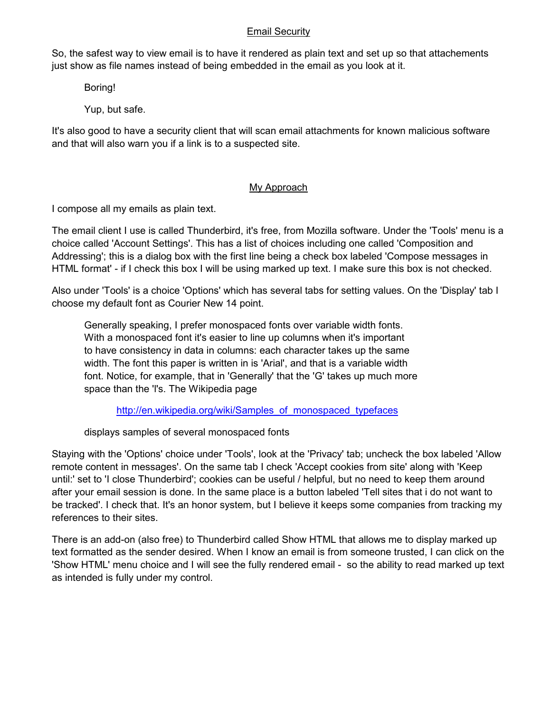### Email Security

So, the safest way to view email is to have it rendered as plain text and set up so that attachements just show as file names instead of being embedded in the email as you look at it.

Boring!

Yup, but safe.

It's also good to have a security client that will scan email attachments for known malicious software and that will also warn you if a link is to a suspected site.

# My Approach

I compose all my emails as plain text.

The email client I use is called Thunderbird, it's free, from Mozilla software. Under the 'Tools' menu is a choice called 'Account Settings'. This has a list of choices including one called 'Composition and Addressing'; this is a dialog box with the first line being a check box labeled 'Compose messages in HTML format' - if I check this box I will be using marked up text. I make sure this box is not checked.

Also under 'Tools' is a choice 'Options' which has several tabs for setting values. On the 'Display' tab I choose my default font as Courier New 14 point.

Generally speaking, I prefer monospaced fonts over variable width fonts. With a monospaced font it's easier to line up columns when it's important to have consistency in data in columns: each character takes up the same width. The font this paper is written in is 'Arial', and that is a variable width font. Notice, for example, that in 'Generally' that the 'G' takes up much more space than the 'I's. The Wikipedia page

http://en.wikipedia.org/wiki/Samples\_of\_monospaced\_typefaces

displays samples of several monospaced fonts

Staying with the 'Options' choice under 'Tools', look at the 'Privacy' tab; uncheck the box labeled 'Allow remote content in messages'. On the same tab I check 'Accept cookies from site' along with 'Keep until:' set to 'I close Thunderbird'; cookies can be useful / helpful, but no need to keep them around after your email session is done. In the same place is a button labeled 'Tell sites that i do not want to be tracked'. I check that. It's an honor system, but I believe it keeps some companies from tracking my references to their sites.

There is an add-on (also free) to Thunderbird called Show HTML that allows me to display marked up text formatted as the sender desired. When I know an email is from someone trusted, I can click on the 'Show HTML' menu choice and I will see the fully rendered email - so the ability to read marked up text as intended is fully under my control.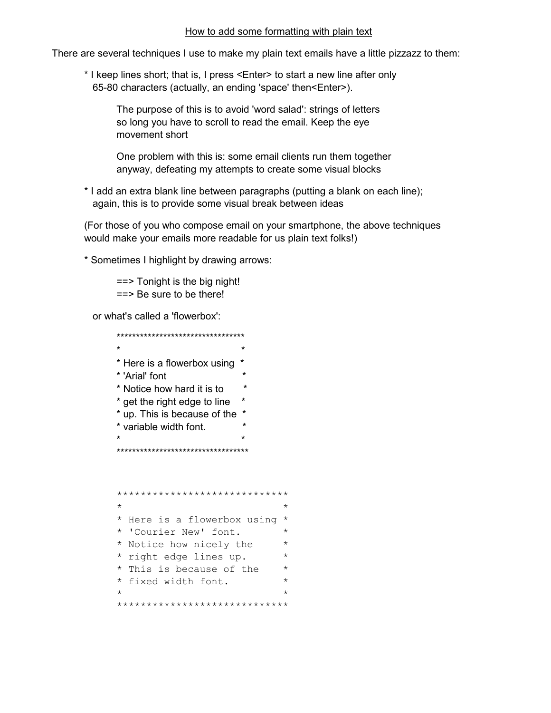#### How to add some formatting with plain text

There are several techniques I use to make my plain text emails have a little pizzazz to them:

\* I keep lines short; that is, I press <Enter> to start a new line after only 65-80 characters (actually, an ending 'space' then<Enter>).

The purpose of this is to avoid 'word salad': strings of letters so long you have to scroll to read the email. Keep the eye movement short

One problem with this is: some email clients run them together anyway, defeating my attempts to create some visual blocks

\* I add an extra blank line between paragraphs (putting a blank on each line); again, this is to provide some visual break between ideas

(For those of you who compose email on your smartphone, the above techniques would make your emails more readable for us plain text folks!)

\* Sometimes I highlight by drawing arrows:

 $==$  Tonight is the big night!  $==$  Be sure to be there!

or what's called a 'flowerbox':

```
**********************************
\star* Here is a flowerbox using *
* 'Arial' font
* Notice how hard it is to *
* get the right edge to line *
* up. This is because of the *
* variable width font.
************************************
*****************************
```

```
* Here is a flowerbox using *
* 'Courier New' font. *
* Notice how nicely the
                           \qquad \qquad \star* right edge lines up.
* This is because of the
                           \star* fixed width font.
*****************************
```